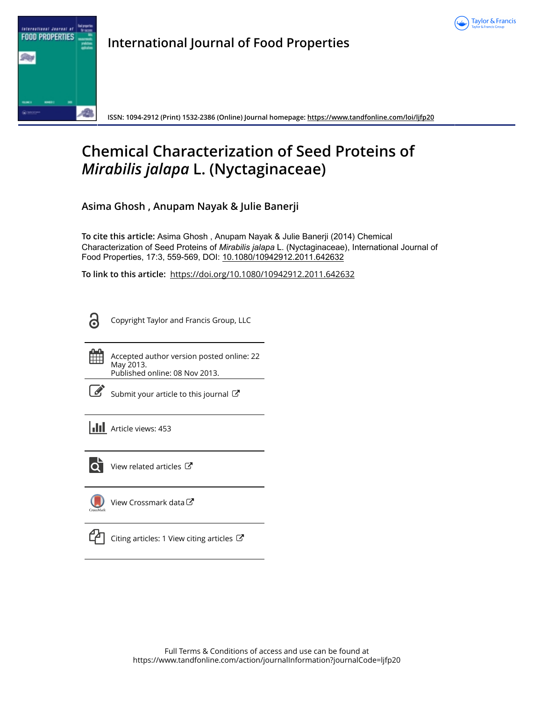



**International Journal of Food Properties**

**ISSN: 1094-2912 (Print) 1532-2386 (Online) Journal homepage:<https://www.tandfonline.com/loi/ljfp20>**

# **Chemical Characterization of Seed Proteins of** *Mirabilis jalapa* **L. (Nyctaginaceae)**

**Asima Ghosh , Anupam Nayak & Julie Banerji**

**To cite this article:** Asima Ghosh , Anupam Nayak & Julie Banerji (2014) Chemical Characterization of Seed Proteins of *Mirabilisjalapa* L. (Nyctaginaceae), International Journal of Food Properties, 17:3, 559-569, DOI: [10.1080/10942912.2011.642632](https://www.tandfonline.com/action/showCitFormats?doi=10.1080/10942912.2011.642632)

**To link to this article:** <https://doi.org/10.1080/10942912.2011.642632>

႕

Copyright Taylor and Francis Group, LLC

m.

Accepted author version posted online: 22 May 2013. Published online: 08 Nov 2013.

[Submit your article to this journal](https://www.tandfonline.com/action/authorSubmission?journalCode=ljfp20&show=instructions)  $\mathbb{Z}$ 

**Article views: 453** 



 $\overline{Q}$  [View related articles](https://www.tandfonline.com/doi/mlt/10.1080/10942912.2011.642632)  $\overline{C}$ 

[View Crossmark data](http://crossmark.crossref.org/dialog/?doi=10.1080/10942912.2011.642632&domain=pdf&date_stamp=2013-05-22)



 $\Box$  [Citing articles: 1 View citing articles](https://www.tandfonline.com/doi/citedby/10.1080/10942912.2011.642632#tabModule)  $\Box$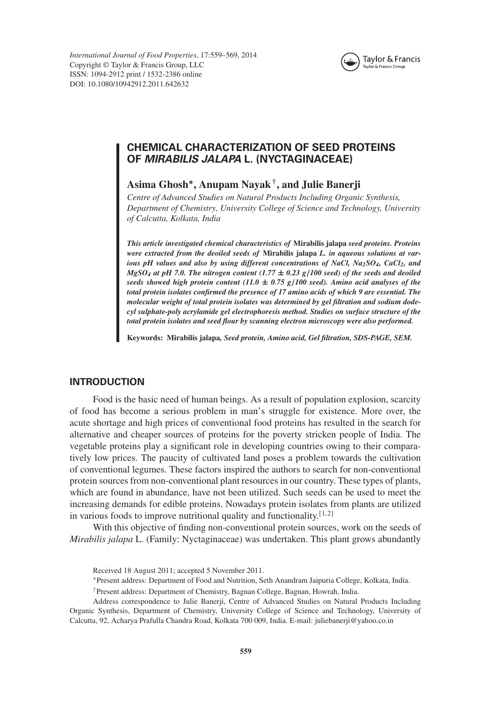*International Journal of Food Properties*, 17:559–569, 2014 Copyright © Taylor & Francis Group, LLC ISSN: 1094-2912 print / 1532-2386 online DOI: 10.1080/10942912.2011.642632



# **CHEMICAL CHARACTERIZATION OF SEED PROTEINS OF** *MIRABILIS JALAPA* **L. (NYCTAGINACEAE)**

# **Asima Ghosh∗, Anupam Nayak†, and Julie Banerji**

*Centre of Advanced Studies on Natural Products Including Organic Synthesis, Department of Chemistry, University College of Science and Technology, University of Calcutta, Kolkata, India*

*This article investigated chemical characteristics of* **Mirabilis jalapa** *seed proteins. Proteins were extracted from the deoiled seeds of* **Mirabilis jalapa** *L. in aqueous solutions at various pH values and also by using different concentrations of NaCl, Na<sub>2</sub>SO<sub>4</sub>, CaCl<sub>2</sub>, and MgSO4 at pH 7.0. The nitrogen content (1.77* **±** *0.23 g/100 seed) of the seeds and deoiled seeds showed high protein content (11.0* **±** *0.75 g/100 seed). Amino acid analyses of the total protein isolates confirmed the presence of 17 amino acids of which 9 are essential. The molecular weight of total protein isolates was determined by gel filtration and sodium dodecyl sulphate-poly acrylamide gel electrophoresis method. Studies on surface structure of the total protein isolates and seed flour by scanning electron microscopy were also performed.*

**Keywords: Mirabilis jalapa***, Seed protein, Amino acid, Gel filtration, SDS-PAGE, SEM.*

# **INTRODUCTION**

Food is the basic need of human beings. As a result of population explosion, scarcity of food has become a serious problem in man's struggle for existence. More over, the acute shortage and high prices of conventional food proteins has resulted in the search for alternative and cheaper sources of proteins for the poverty stricken people of India. The vegetable proteins play a significant role in developing countries owing to their comparatively low prices. The paucity of cultivated land poses a problem towards the cultivation of conventional legumes. These factors inspired the authors to search for non-conventional protein sources from non-conventional plant resources in our country. These types of plants, which are found in abundance, have not been utilized. Such seeds can be used to meet the increasing demands for edible proteins. Nowadays protein isolates from plants are utilized in various foods to improve nutritional quality and functionality.[1,2]

With this objective of finding non-conventional protein sources, work on the seeds of *Mirabilis jalapa* L. (Family: Nyctaginaceae) was undertaken. This plant grows abundantly

Received 18 August 2011; accepted 5 November 2011.

<sup>∗</sup>Present address: Department of Food and Nutrition, Seth Anandram Jaipuria College, Kolkata, India.

<sup>†</sup>Present address: Department of Chemistry, Bagnan College, Bagnan, Howrah, India.

Address correspondence to Julie Banerji, Centre of Advanced Studies on Natural Products Including Organic Synthesis, Department of Chemistry, University College of Science and Technology, University of Calcutta, 92, Acharya Prafulla Chandra Road, Kolkata 700 009, India. E-mail: juliebanerji@yahoo.co.in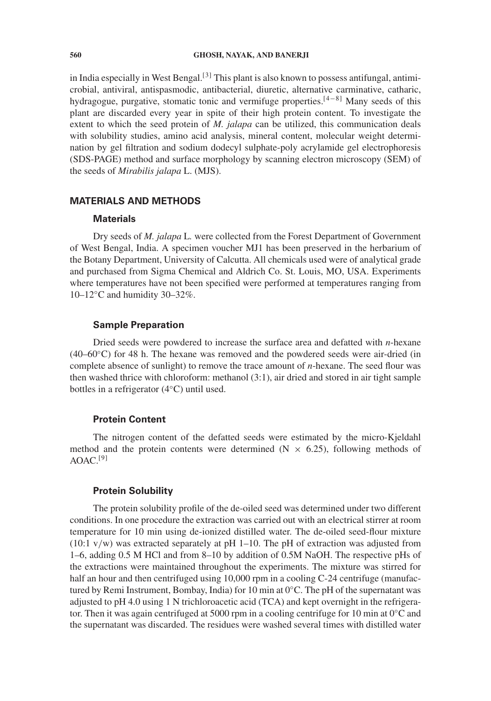#### **560 GHOSH, NAYAK, AND BANERJI**

in India especially in West Bengal.<sup>[3]</sup> This plant is also known to possess antifungal, antimicrobial, antiviral, antispasmodic, antibacterial, diuretic, alternative carminative, catharic, hydragogue, purgative, stomatic tonic and vermifuge properties.[4−8] Many seeds of this plant are discarded every year in spite of their high protein content. To investigate the extent to which the seed protein of *M. jalapa* can be utilized, this communication deals with solubility studies, amino acid analysis, mineral content, molecular weight determination by gel filtration and sodium dodecyl sulphate-poly acrylamide gel electrophoresis (SDS-PAGE) method and surface morphology by scanning electron microscopy (SEM) of the seeds of *Mirabilis jalapa* L. (MJS).

# **MATERIALS AND METHODS**

#### **Materials**

Dry seeds of *M. jalapa* L*.* were collected from the Forest Department of Government of West Bengal, India. A specimen voucher MJ1 has been preserved in the herbarium of the Botany Department, University of Calcutta. All chemicals used were of analytical grade and purchased from Sigma Chemical and Aldrich Co. St. Louis, MO, USA. Experiments where temperatures have not been specified were performed at temperatures ranging from 10–12◦C and humidity 30–32%.

#### **Sample Preparation**

Dried seeds were powdered to increase the surface area and defatted with *n*-hexane  $(40-60°C)$  for 48 h. The hexane was removed and the powdered seeds were air-dried (in complete absence of sunlight) to remove the trace amount of *n*-hexane. The seed flour was then washed thrice with chloroform: methanol (3:1), air dried and stored in air tight sample bottles in a refrigerator (4◦C) until used.

## **Protein Content**

The nitrogen content of the defatted seeds were estimated by the micro-Kjeldahl method and the protein contents were determined ( $N \times 6.25$ ), following methods of  $AOAC.$ <sup>[9]</sup>

#### **Protein Solubility**

The protein solubility profile of the de-oiled seed was determined under two different conditions. In one procedure the extraction was carried out with an electrical stirrer at room temperature for 10 min using de-ionized distilled water. The de-oiled seed-flour mixture  $(10:1 \text{ v/w})$  was extracted separately at pH 1–10. The pH of extraction was adjusted from 1–6, adding 0.5 M HCl and from 8–10 by addition of 0.5M NaOH. The respective pHs of the extractions were maintained throughout the experiments. The mixture was stirred for half an hour and then centrifuged using 10,000 rpm in a cooling C-24 centrifuge (manufactured by Remi Instrument, Bombay, India) for 10 min at 0◦C. The pH of the supernatant was adjusted to pH 4.0 using 1 N trichloroacetic acid (TCA) and kept overnight in the refrigerator. Then it was again centrifuged at 5000 rpm in a cooling centrifuge for 10 min at  $0°C$  and the supernatant was discarded. The residues were washed several times with distilled water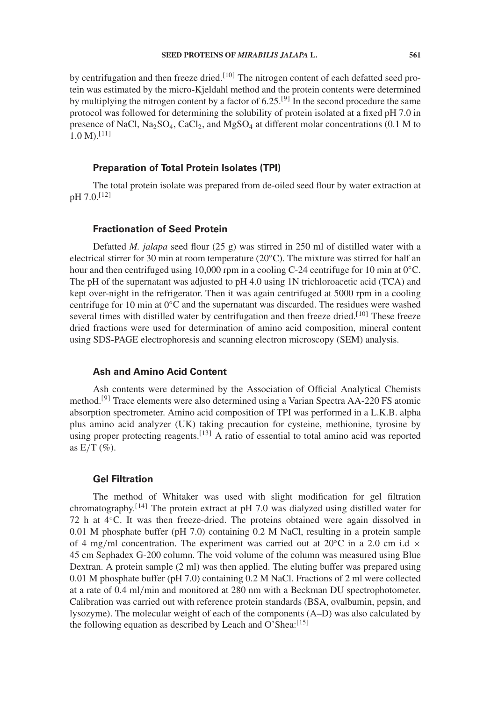by centrifugation and then freeze dried.<sup>[10]</sup> The nitrogen content of each defatted seed protein was estimated by the micro-Kjeldahl method and the protein contents were determined by multiplying the nitrogen content by a factor of  $6.25^{[9]}$  In the second procedure the same protocol was followed for determining the solubility of protein isolated at a fixed pH 7.0 in presence of NaCl,  $Na<sub>2</sub>SO<sub>4</sub>$ , CaCl<sub>2</sub>, and MgSO<sub>4</sub> at different molar concentrations (0.1 M to  $1.0 \text{ M}$ ).<sup>[11]</sup>

#### **Preparation of Total Protein Isolates (TPI)**

The total protein isolate was prepared from de-oiled seed flour by water extraction at pH 7.0.[12]

#### **Fractionation of Seed Protein**

Defatted *M. jalapa* seed flour (25 g) was stirred in 250 ml of distilled water with a electrical stirrer for 30 min at room temperature (20◦C). The mixture was stirred for half an hour and then centrifuged using 10,000 rpm in a cooling C-24 centrifuge for 10 min at  $0^{\circ}$ C. The pH of the supernatant was adjusted to pH 4.0 using 1N trichloroacetic acid (TCA) and kept over-night in the refrigerator. Then it was again centrifuged at 5000 rpm in a cooling centrifuge for 10 min at 0◦C and the supernatant was discarded. The residues were washed several times with distilled water by centrifugation and then freeze dried.<sup>[10]</sup> These freeze dried fractions were used for determination of amino acid composition, mineral content using SDS-PAGE electrophoresis and scanning electron microscopy (SEM) analysis.

#### **Ash and Amino Acid Content**

Ash contents were determined by the Association of Official Analytical Chemists method.[9] Trace elements were also determined using a Varian Spectra AA-220 FS atomic absorption spectrometer. Amino acid composition of TPI was performed in a L.K.B. alpha plus amino acid analyzer (UK) taking precaution for cysteine, methionine, tyrosine by using proper protecting reagents.<sup>[13]</sup> A ratio of essential to total amino acid was reported as  $E/T$  (%).

#### **Gel Filtration**

The method of Whitaker was used with slight modification for gel filtration chromatography.[14] The protein extract at pH 7.0 was dialyzed using distilled water for 72 h at 4◦C. It was then freeze-dried. The proteins obtained were again dissolved in 0.01 M phosphate buffer (pH 7.0) containing 0.2 M NaCl, resulting in a protein sample of 4 mg/ml concentration. The experiment was carried out at  $20^{\circ}$ C in a 2.0 cm i.d  $\times$ 45 cm Sephadex G-200 column. The void volume of the column was measured using Blue Dextran. A protein sample (2 ml) was then applied. The eluting buffer was prepared using 0.01 M phosphate buffer (pH 7.0) containing 0.2 M NaCl. Fractions of 2 ml were collected at a rate of 0.4 ml/min and monitored at 280 nm with a Beckman DU spectrophotometer. Calibration was carried out with reference protein standards (BSA, ovalbumin, pepsin, and lysozyme). The molecular weight of each of the components (A–D) was also calculated by the following equation as described by Leach and O'Shea: $[15]$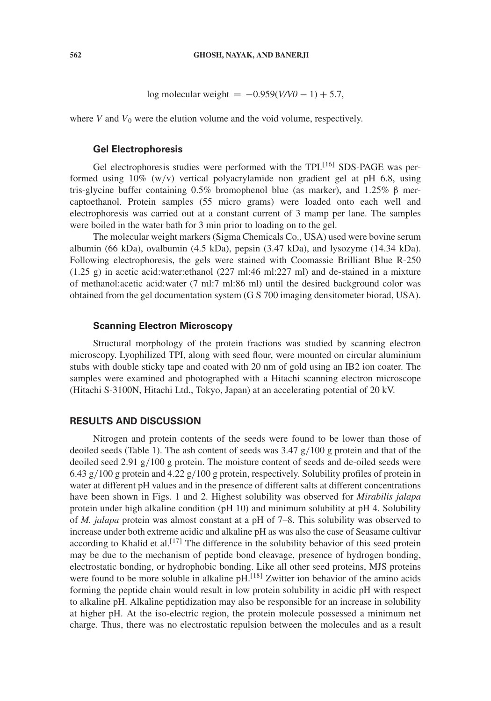log molecular weight =  $-0.959(V/V0 - 1) + 5.7$ ,

where *V* and  $V_0$  were the elution volume and the void volume, respectively.

#### **Gel Electrophoresis**

Gel electrophoresis studies were performed with the TPI.<sup>[16]</sup> SDS-PAGE was performed using 10% (w/v) vertical polyacrylamide non gradient gel at pH 6.8, using tris-glycine buffer containing 0.5% bromophenol blue (as marker), and 1.25%  $\beta$  mercaptoethanol. Protein samples (55 micro grams) were loaded onto each well and electrophoresis was carried out at a constant current of 3 mamp per lane. The samples were boiled in the water bath for 3 min prior to loading on to the gel.

The molecular weight markers (Sigma Chemicals Co., USA) used were bovine serum albumin (66 kDa), ovalbumin (4.5 kDa), pepsin (3.47 kDa), and lysozyme (14.34 kDa). Following electrophoresis, the gels were stained with Coomassie Brilliant Blue R-250  $(1.25 \text{ g})$  in acetic acid:water:ethanol  $(227 \text{ ml}:46 \text{ ml}:227 \text{ ml})$  and de-stained in a mixture of methanol:acetic acid:water (7 ml:7 ml:86 ml) until the desired background color was obtained from the gel documentation system (G S 700 imaging densitometer biorad, USA).

# **Scanning Electron Microscopy**

Structural morphology of the protein fractions was studied by scanning electron microscopy. Lyophilized TPI, along with seed flour, were mounted on circular aluminium stubs with double sticky tape and coated with 20 nm of gold using an IB2 ion coater. The samples were examined and photographed with a Hitachi scanning electron microscope (Hitachi S-3100N, Hitachi Ltd., Tokyo, Japan) at an accelerating potential of 20 kV.

#### **RESULTS AND DISCUSSION**

Nitrogen and protein contents of the seeds were found to be lower than those of deoiled seeds (Table 1). The ash content of seeds was  $3.47 \frac{g}{100}$  g protein and that of the deoiled seed 2.91 g/100 g protein. The moisture content of seeds and de-oiled seeds were 6.43 g/100 g protein and 4.22 g/100 g protein, respectively. Solubility profiles of protein in water at different pH values and in the presence of different salts at different concentrations have been shown in Figs. 1 and 2. Highest solubility was observed for *Mirabilis jalapa* protein under high alkaline condition (pH 10) and minimum solubility at pH 4. Solubility of *M. jalapa* protein was almost constant at a pH of 7–8. This solubility was observed to increase under both extreme acidic and alkaline pH as was also the case of Seasame cultivar according to Khalid et al.<sup>[17]</sup> The difference in the solubility behavior of this seed protein may be due to the mechanism of peptide bond cleavage, presence of hydrogen bonding, electrostatic bonding, or hydrophobic bonding. Like all other seed proteins, MJS proteins were found to be more soluble in alkaline  $pH<sup>[18]</sup> Zwitter$  ion behavior of the amino acids forming the peptide chain would result in low protein solubility in acidic pH with respect to alkaline pH. Alkaline peptidization may also be responsible for an increase in solubility at higher pH. At the iso-electric region, the protein molecule possessed a minimum net charge. Thus, there was no electrostatic repulsion between the molecules and as a result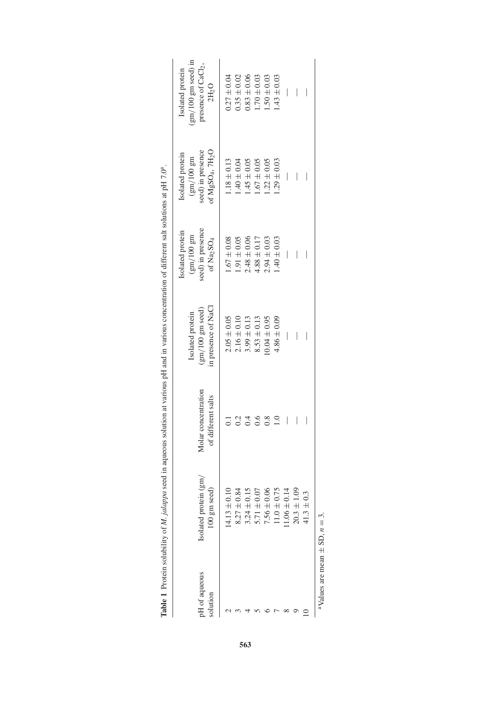| pH of aqueous                                    | Isolated protein (gm/<br>100 gm seed) | Molar concentration<br>of different salts | in presence of NaCl<br>$(gm/100$ gm seed)<br>Isolated protein | $(gm/100 gm$<br>seed) in presence<br>Isolated protein<br>of Na <sub>2</sub> SO <sub>4</sub> | of MgSO <sub>4</sub> , 7H <sub>2</sub> O<br>seed) in presence<br>Isolated protein<br>$\mathrm{(gm/100~gm)}$ | $\text{g}$ m/100 gm seed) in<br>presence of $CaCl2$ ,<br>Isolated protein<br>$2H_2O$ |
|--------------------------------------------------|---------------------------------------|-------------------------------------------|---------------------------------------------------------------|---------------------------------------------------------------------------------------------|-------------------------------------------------------------------------------------------------------------|--------------------------------------------------------------------------------------|
|                                                  | $14.13 \pm 0.10$                      |                                           | $2.05 \pm 0.05$                                               | $1.67 \pm 0.08$                                                                             | $1.18 \pm 0.13$                                                                                             | $0.27 \pm 0.04$                                                                      |
|                                                  | $8.27 \pm 0.8$                        |                                           | $2.16 \pm 0.10$                                               | $1.91 \pm 0.05$                                                                             | $1.40 \pm 0.04$                                                                                             | $0.35 \pm 0.02$                                                                      |
|                                                  | $3.24 \pm 0.1$                        |                                           | $3.99 \pm 0.13$                                               | $2.48 \pm 0.06$                                                                             | $.45 \pm 0.05$                                                                                              | $0.83 + 0.06$                                                                        |
|                                                  | $5.71 \pm 0.0$                        |                                           | $8.53 \pm 0.13$                                               | $4.88 \pm 0.17$                                                                             | $1.67 \pm 0.05$                                                                                             | $1.70 \pm 0.03$                                                                      |
|                                                  | $7.56 \pm 0.0$                        | 3.8                                       | $0.04 \pm 0.95$                                               | $2.94 \pm 0.03$                                                                             | $1.22 \pm 0.05$                                                                                             | $1.50 \pm 0.03$                                                                      |
|                                                  | $11.0 \pm 0.7$                        |                                           | $4.86 \pm 0.09$                                               | $.40 \pm 0.03$                                                                              | $1.29 \pm 0.03$                                                                                             | $.43 \pm 0.03$                                                                       |
|                                                  | $1.06 \pm 0.1$                        | I                                         |                                                               | I                                                                                           | $\begin{array}{c} \hline \end{array}$                                                                       | I                                                                                    |
|                                                  | $20.3 \pm 1.0$                        | I                                         |                                                               | I                                                                                           | I                                                                                                           | I                                                                                    |
|                                                  | $41.3 \pm 0.3$                        |                                           |                                                               |                                                                                             | $\overline{\phantom{a}}$                                                                                    |                                                                                      |
| <sup>a</sup> Values are mean $\pm$ SD, $n = 3$ . |                                       |                                           |                                                               |                                                                                             |                                                                                                             |                                                                                      |

Table 1 Protein solubility of M. jalappa seed in aqueous solution at various pH and in various concentration of different salt solutions at pH 7.0<sup>a</sup>. **Table 1** Protein solubility of *M. jalappa* seed in aqueous solution at various pH and in various concentration of different salt solutions at pH 7.0a.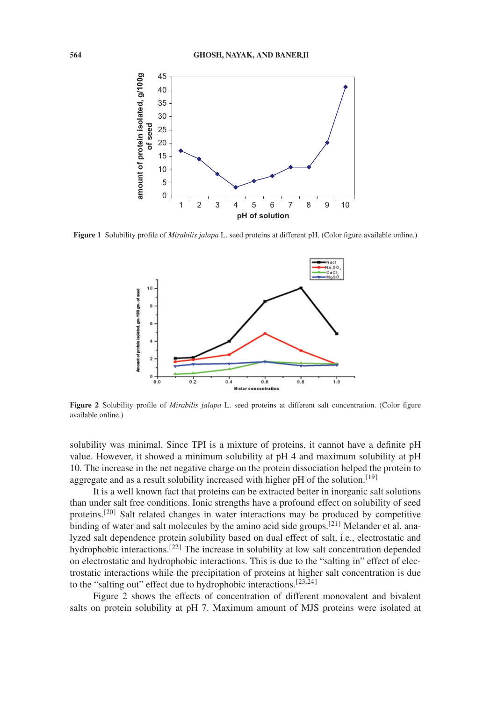

**Figure 1** Solubility profile of *Mirabilis jalapa* L. seed proteins at different pH. (Color figure available online.)



**Figure 2** Solubility profile of *Mirabilis jalapa* L. seed proteins at different salt concentration. (Color figure available online.)

solubility was minimal. Since TPI is a mixture of proteins, it cannot have a definite pH value. However, it showed a minimum solubility at pH 4 and maximum solubility at pH 10. The increase in the net negative charge on the protein dissociation helped the protein to aggregate and as a result solubility increased with higher  $pH$  of the solution.<sup>[19]</sup>

It is a well known fact that proteins can be extracted better in inorganic salt solutions than under salt free conditions. Ionic strengths have a profound effect on solubility of seed proteins.[20] Salt related changes in water interactions may be produced by competitive binding of water and salt molecules by the amino acid side groups.<sup>[21]</sup> Melander et al. analyzed salt dependence protein solubility based on dual effect of salt, i.e., electrostatic and hydrophobic interactions.<sup>[22]</sup> The increase in solubility at low salt concentration depended on electrostatic and hydrophobic interactions. This is due to the "salting in" effect of electrostatic interactions while the precipitation of proteins at higher salt concentration is due to the "salting out" effect due to hydrophobic interactions.[23,24]

Figure 2 shows the effects of concentration of different monovalent and bivalent salts on protein solubility at pH 7. Maximum amount of MJS proteins were isolated at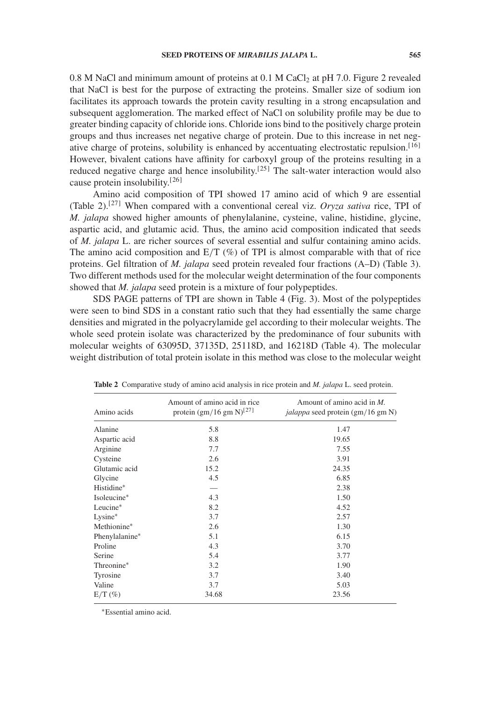$0.8$  M NaCl and minimum amount of proteins at  $0.1$  M CaCl<sub>2</sub> at pH 7.0. Figure 2 revealed that NaCl is best for the purpose of extracting the proteins. Smaller size of sodium ion facilitates its approach towards the protein cavity resulting in a strong encapsulation and subsequent agglomeration. The marked effect of NaCl on solubility profile may be due to greater binding capacity of chloride ions. Chloride ions bind to the positively charge protein groups and thus increases net negative charge of protein. Due to this increase in net negative charge of proteins, solubility is enhanced by accentuating electrostatic repulsion.<sup>[16]</sup> However, bivalent cations have affinity for carboxyl group of the proteins resulting in a reduced negative charge and hence insolubility.<sup>[25]</sup> The salt-water interaction would also cause protein insolubility.[26]

Amino acid composition of TPI showed 17 amino acid of which 9 are essential (Table 2).[27] When compared with a conventional cereal viz. *Oryza sativa* rice, TPI of *M. jalapa* showed higher amounts of phenylalanine, cysteine, valine, histidine, glycine, aspartic acid, and glutamic acid. Thus, the amino acid composition indicated that seeds of *M. jalapa* L. are richer sources of several essential and sulfur containing amino acids. The amino acid composition and  $E/T$  (%) of TPI is almost comparable with that of rice proteins. Gel filtration of *M. jalapa* seed protein revealed four fractions (A–D) (Table 3). Two different methods used for the molecular weight determination of the four components showed that *M. jalapa* seed protein is a mixture of four polypeptides.

SDS PAGE patterns of TPI are shown in Table 4 (Fig. 3). Most of the polypeptides were seen to bind SDS in a constant ratio such that they had essentially the same charge densities and migrated in the polyacrylamide gel according to their molecular weights. The whole seed protein isolate was characterized by the predominance of four subunits with molecular weights of 63095D, 37135D, 25118D, and 16218D (Table 4). The molecular weight distribution of total protein isolate in this method was close to the molecular weight

| Amount of amino acid in rice<br>Amount of amino acid in $M$ .<br><i>jalappa</i> seed protein (gm/16 gm N)<br>1.47 |
|-------------------------------------------------------------------------------------------------------------------|
|                                                                                                                   |
|                                                                                                                   |
| 19.65                                                                                                             |
| 7.55                                                                                                              |
| 3.91                                                                                                              |
| 24.35                                                                                                             |
| 6.85                                                                                                              |
| 2.38                                                                                                              |
| 1.50                                                                                                              |
| 4.52                                                                                                              |
| 2.57                                                                                                              |
| 1.30                                                                                                              |
| 6.15                                                                                                              |
| 3.70                                                                                                              |
| 3.77                                                                                                              |
| 1.90                                                                                                              |
| 3.40                                                                                                              |
| 5.03                                                                                                              |
| 23.56                                                                                                             |
|                                                                                                                   |

**Table 2** Comparative study of amino acid analysis in rice protein and *M. jalapa* L. seed protein.

∗Essential amino acid.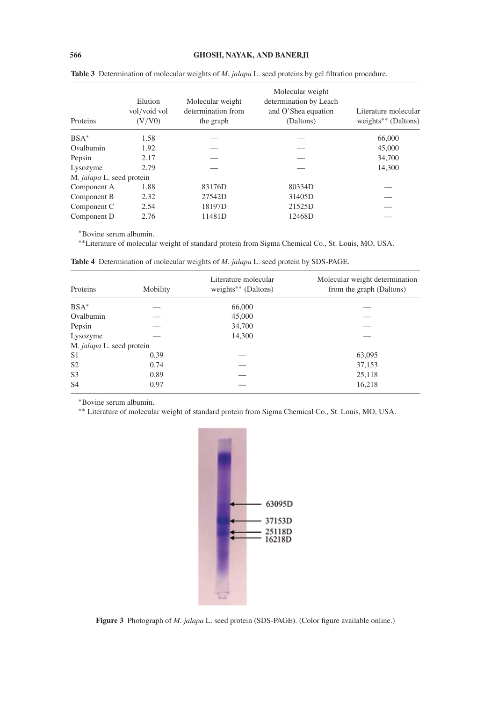| Proteins                  | Elution<br>vol/void vol<br>(V/V0) | Molecular weight<br>determination from<br>the graph | Molecular weight<br>determination by Leach<br>and O'Shea equation<br>(Daltons) | Literature molecular<br>weights** (Daltons) |
|---------------------------|-----------------------------------|-----------------------------------------------------|--------------------------------------------------------------------------------|---------------------------------------------|
| $BSA*$                    | 1.58                              |                                                     |                                                                                | 66,000                                      |
| Ovalbumin                 | 1.92                              |                                                     |                                                                                | 45,000                                      |
| Pepsin                    | 2.17                              |                                                     |                                                                                | 34,700                                      |
| Lysozyme                  | 2.79                              |                                                     |                                                                                | 14,300                                      |
| M. jalapa L. seed protein |                                   |                                                     |                                                                                |                                             |
| Component A               | 1.88                              | 83176D                                              | 80334D                                                                         |                                             |
| Component B               | 2.32                              | 27542D                                              | 31405D                                                                         |                                             |
| Component C               | 2.54                              | 18197D                                              | 21525D                                                                         |                                             |
| Component D               | 2.76                              | 11481D                                              | 12468D                                                                         |                                             |

**Table 3** Determination of molecular weights of *M. jalapa* L. seed proteins by gel filtration procedure.

∗Bovine serum albumin.

∗∗Literature of molecular weight of standard protein from Sigma Chemical Co., St. Louis, MO, USA.

| Proteins                  | Mobility | Literature molecular<br>weights** (Daltons) | Molecular weight determination<br>from the graph (Daltons) |
|---------------------------|----------|---------------------------------------------|------------------------------------------------------------|
| $BSA*$                    |          | 66,000                                      |                                                            |
| Ovalbumin                 |          | 45,000                                      |                                                            |
| Pepsin                    |          | 34,700                                      |                                                            |
| Lysozyme                  |          | 14,300                                      |                                                            |
| M. jalapa L. seed protein |          |                                             |                                                            |
| S <sub>1</sub>            | 0.39     |                                             | 63,095                                                     |
| S <sub>2</sub>            | 0.74     |                                             | 37,153                                                     |
| S <sub>3</sub>            | 0.89     |                                             | 25,118                                                     |
| S <sub>4</sub>            | 0.97     |                                             | 16,218                                                     |

**Table 4** Determination of molecular weights of *M. jalapa* L. seed protein by SDS-PAGE.

∗Bovine serum albumin.

∗∗ Literature of molecular weight of standard protein from Sigma Chemical Co., St. Louis, MO, USA.



**Figure 3** Photograph of *M. jalapa* L. seed protein (SDS-PAGE). (Color figure available online.)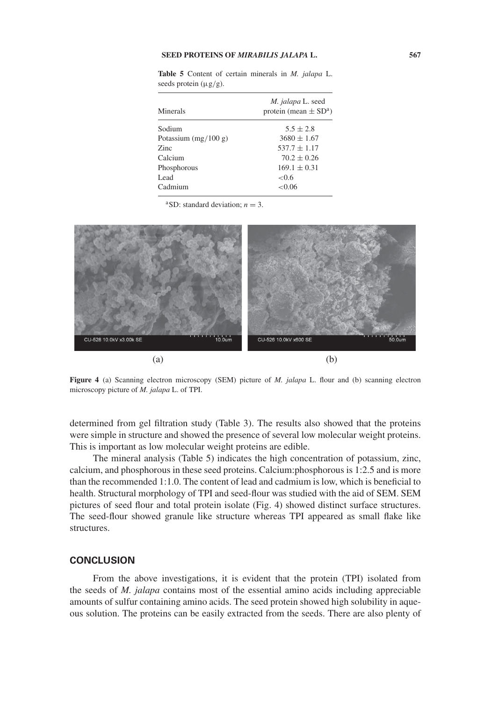#### **SEED PROTEINS OF** *MIRABILIS JALAPA* **L. 567**

| seeds protein $(\mu g/g)$ . |                                                            |  |  |
|-----------------------------|------------------------------------------------------------|--|--|
| Minerals                    | M. jalapa L. seed<br>protein (mean $\pm$ SD <sup>a</sup> ) |  |  |
| Sodium                      | $5.5 + 2.8$                                                |  |  |
| Potassium $(mg/100 g)$      | $3680 + 1.67$                                              |  |  |
| <b>Zinc</b>                 | $537.7 \pm 1.17$                                           |  |  |
| Calcium                     | $70.2 \pm 0.26$                                            |  |  |
| Phosphorous                 | $169.1 \pm 0.31$                                           |  |  |

 $169.1 \pm 0.31$ <br>< 0.6

**Table 5** Content of certain minerals in *M. jalapa* L.

<sup>a</sup>SD: standard deviation;  $n = 3$ .

Cadmium <0.06

Lead



**Figure 4** (a) Scanning electron microscopy (SEM) picture of *M. jalapa* L. flour and (b) scanning electron microscopy picture of *M. jalapa* L. of TPI.

determined from gel filtration study (Table 3). The results also showed that the proteins were simple in structure and showed the presence of several low molecular weight proteins. This is important as low molecular weight proteins are edible.

The mineral analysis (Table 5) indicates the high concentration of potassium, zinc, calcium, and phosphorous in these seed proteins. Calcium:phosphorous is 1:2.5 and is more than the recommended 1:1.0. The content of lead and cadmium is low, which is beneficial to health. Structural morphology of TPI and seed-flour was studied with the aid of SEM. SEM pictures of seed flour and total protein isolate (Fig. 4) showed distinct surface structures. The seed-flour showed granule like structure whereas TPI appeared as small flake like structures.

## **CONCLUSION**

From the above investigations, it is evident that the protein (TPI) isolated from the seeds of *M. jalapa* contains most of the essential amino acids including appreciable amounts of sulfur containing amino acids. The seed protein showed high solubility in aqueous solution. The proteins can be easily extracted from the seeds. There are also plenty of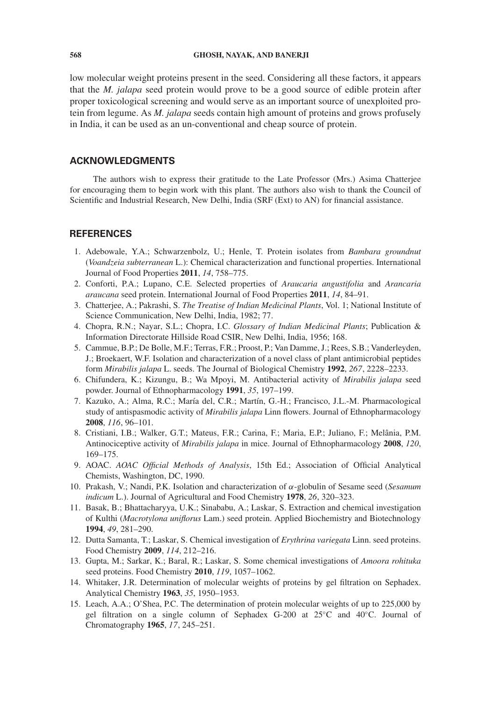low molecular weight proteins present in the seed. Considering all these factors, it appears that the *M. jalapa* seed protein would prove to be a good source of edible protein after proper toxicological screening and would serve as an important source of unexploited protein from legume. As *M. jalapa* seeds contain high amount of proteins and grows profusely in India, it can be used as an un-conventional and cheap source of protein.

#### **ACKNOWLEDGMENTS**

The authors wish to express their gratitude to the Late Professor (Mrs.) Asima Chatterjee for encouraging them to begin work with this plant. The authors also wish to thank the Council of Scientific and Industrial Research, New Delhi, India (SRF (Ext) to AN) for financial assistance.

#### **REFERENCES**

- 1. Adebowale, Y.A.; Schwarzenbolz, U.; Henle, T. Protein isolates from *Bambara groundnut* (*Voandzeia subterranean* L.): Chemical characterization and functional properties. International Journal of Food Properties **2011**, *14*, 758–775.
- 2. Conforti, P.A.; Lupano, C.E. Selected properties of *Araucaria angustifolia* and *Arancaria araucana* seed protein. International Journal of Food Properties **2011**, *14*, 84–91.
- 3. Chatterjee, A.; Pakrashi, S. *The Treatise of Indian Medicinal Plants*, Vol. 1; National Institute of Science Communication, New Delhi, India, 1982; 77.
- 4. Chopra, R.N.; Nayar, S.L.; Chopra, I.C. *Glossary of Indian Medicinal Plants*; Publication & Information Directorate Hillside Road CSIR, New Delhi, India, 1956; 168.
- 5. Cammue, B.P.; De Bolle, M.F.; Terras, F.R.; Proost, P.; Van Damme, J.; Rees, S.B.; Vanderleyden, J.; Broekaert, W.F. Isolation and characterization of a novel class of plant antimicrobial peptides form *Mirabilis jalapa* L. seeds. The Journal of Biological Chemistry **1992**, *267*, 2228–2233.
- 6. Chifundera, K.; Kizungu, B.; Wa Mpoyi, M. Antibacterial activity of *Mirabilis jalapa* seed powder. Journal of Ethnopharmacology **1991**, *35*, 197–199.
- 7. Kazuko, A.; Alma, R.C.; María del, C.R.; Martín, G.-H.; Francisco, J.L.-M. Pharmacological study of antispasmodic activity of *Mirabilis jalapa* Linn flowers. Journal of Ethnopharmacology **2008**, *116*, 96–101.
- 8. Cristiani, I.B.; Walker, G.T.; Mateus, F.R.; Carina, F.; Maria, E.P.; Juliano, F.; Melânia, P.M. Antinociceptive activity of *Mirabilis jalapa* in mice. Journal of Ethnopharmacology **2008**, *120*, 169–175.
- 9. AOAC. *AOAC Official Methods of Analysis*, 15th Ed.; Association of Official Analytical Chemists, Washington, DC, 1990.
- 10. Prakash, V.; Nandi, P.K. Isolation and characterization of α-globulin of Sesame seed (*Sesamum indicum* L.). Journal of Agricultural and Food Chemistry **1978**, *26*, 320–323.
- 11. Basak, B.; Bhattacharyya, U.K.; Sinababu, A.; Laskar, S. Extraction and chemical investigation of Kulthi (*Macrotylona uniflorus* Lam.) seed protein. Applied Biochemistry and Biotechnology **1994**, *49*, 281–290.
- 12. Dutta Samanta, T.; Laskar, S. Chemical investigation of *Erythrina variegata* Linn. seed proteins. Food Chemistry **2009**, *114*, 212–216.
- 13. Gupta, M.; Sarkar, K.; Baral, R.; Laskar, S. Some chemical investigations of *Amoora rohituka* seed proteins. Food Chemistry **2010**, *119*, 1057–1062.
- 14. Whitaker, J.R. Determination of molecular weights of proteins by gel filtration on Sephadex. Analytical Chemistry **1963**, *35*, 1950–1953.
- 15. Leach, A.A.; O'Shea, P.C. The determination of protein molecular weights of up to 225,000 by gel filtration on a single column of Sephadex G-200 at 25◦C and 40◦C. Journal of Chromatography **1965**, *17*, 245–251.